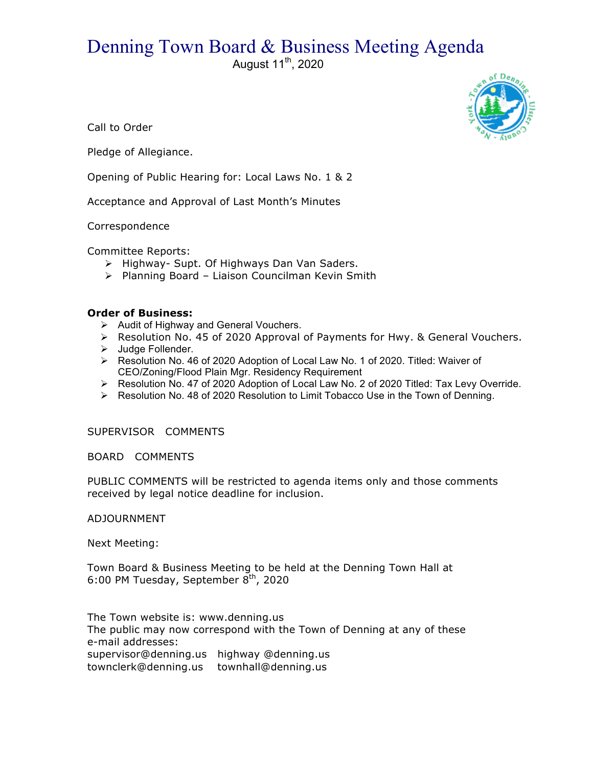## Denning Town Board & Business Meeting Agenda

August 11<sup>th</sup>, 2020



Call to Order

Pledge of Allegiance.

Opening of Public Hearing for: Local Laws No. 1 & 2

Acceptance and Approval of Last Month's Minutes

Correspondence

Committee Reports:

- > Highway- Supt. Of Highways Dan Van Saders.
- ! Planning Board Liaison Councilman Kevin Smith

## **Order of Business:**

- > Audit of Highway and General Vouchers.
- $\triangleright$  Resolution No. 45 of 2020 Approval of Payments for Hwy. & General Vouchers.
- > Judge Follender.
- $\triangleright$  Resolution No. 46 of 2020 Adoption of Local Law No. 1 of 2020. Titled: Waiver of CEO/Zoning/Flood Plain Mgr. Residency Requirement
- > Resolution No. 47 of 2020 Adoption of Local Law No. 2 of 2020 Titled: Tax Levy Override.
- $\triangleright$  Resolution No. 48 of 2020 Resolution to Limit Tobacco Use in the Town of Denning.

SUPERVISOR COMMENTS

## BOARD COMMENTS

PUBLIC COMMENTS will be restricted to agenda items only and those comments received by legal notice deadline for inclusion.

## ADJOURNMENT

Next Meeting:

Town Board & Business Meeting to be held at the Denning Town Hall at 6:00 PM Tuesday, September  $8<sup>th</sup>$ , 2020

The Town website is: www.denning.us The public may now correspond with the Town of Denning at any of these e-mail addresses: supervisor@denning.us highway @denning.us townclerk@denning.us townhall@denning.us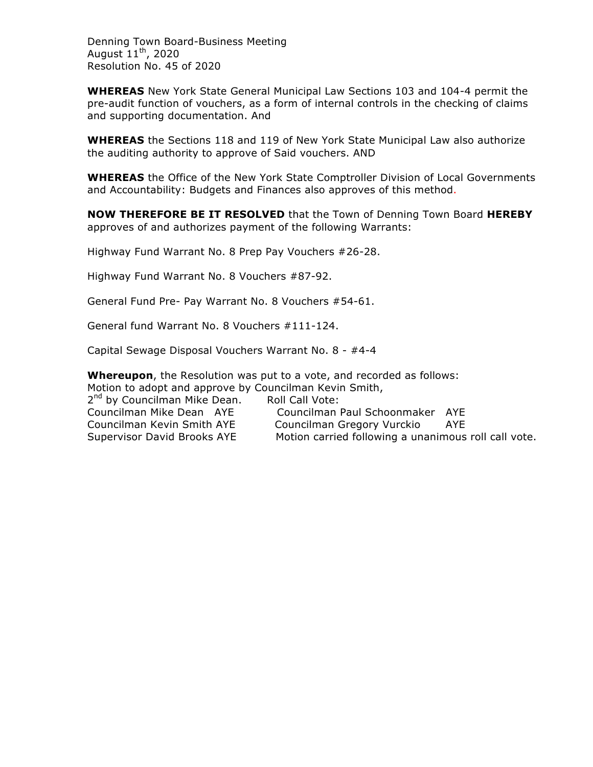Denning Town Board-Business Meeting August  $11<sup>th</sup>$ , 2020 Resolution No. 45 of 2020

**WHEREAS** New York State General Municipal Law Sections 103 and 104-4 permit the pre-audit function of vouchers, as a form of internal controls in the checking of claims and supporting documentation. And

**WHEREAS** the Sections 118 and 119 of New York State Municipal Law also authorize the auditing authority to approve of Said vouchers. AND

**WHEREAS** the Office of the New York State Comptroller Division of Local Governments and Accountability: Budgets and Finances also approves of this method.

**NOW THEREFORE BE IT RESOLVED** that the Town of Denning Town Board **HEREBY** approves of and authorizes payment of the following Warrants:

Highway Fund Warrant No. 8 Prep Pay Vouchers #26-28.

Highway Fund Warrant No. 8 Vouchers #87-92.

General Fund Pre- Pay Warrant No. 8 Vouchers #54-61.

General fund Warrant No. 8 Vouchers #111-124.

Capital Sewage Disposal Vouchers Warrant No. 8 - #4-4

**Whereupon**, the Resolution was put to a vote, and recorded as follows: Motion to adopt and approve by Councilman Kevin Smith,

2<sup>nd</sup> by Councilman Mike Dean. Roll Call Vote:

Councilman Mike Dean AYE Councilman Paul Schoonmaker AYE Councilman Kevin Smith AYE Councilman Gregory Vurckio AYE Supervisor David Brooks AYE Motion carried following a unanimous roll call vote.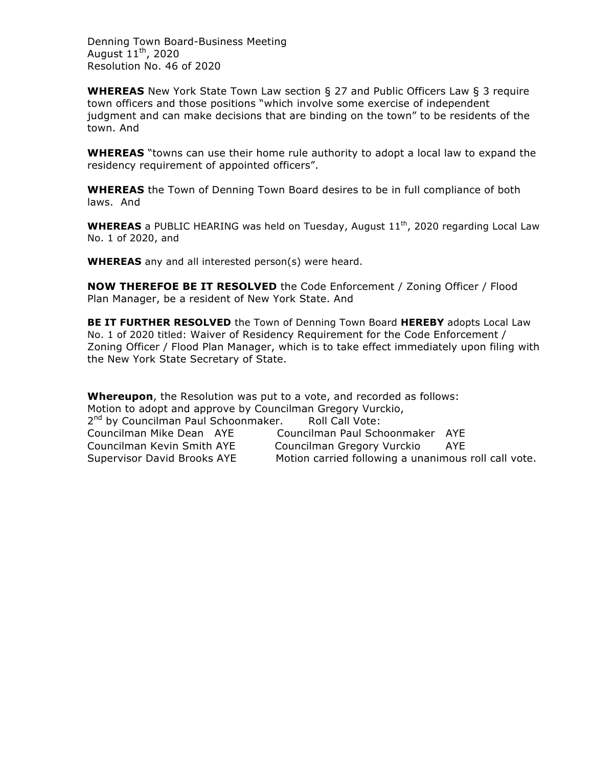Denning Town Board-Business Meeting August  $11<sup>th</sup>$ , 2020 Resolution No. 46 of 2020

**WHEREAS** New York State Town Law section § 27 and Public Officers Law § 3 require town officers and those positions "which involve some exercise of independent judgment and can make decisions that are binding on the town" to be residents of the town. And

**WHEREAS** "towns can use their home rule authority to adopt a local law to expand the residency requirement of appointed officers".

**WHEREAS** the Town of Denning Town Board desires to be in full compliance of both laws. And

**WHEREAS** a PUBLIC HEARING was held on Tuesday, August 11<sup>th</sup>, 2020 regarding Local Law No. 1 of 2020, and

**WHEREAS** any and all interested person(s) were heard.

**NOW THEREFOE BE IT RESOLVED** the Code Enforcement / Zoning Officer / Flood Plan Manager, be a resident of New York State. And

**BE IT FURTHER RESOLVED** the Town of Denning Town Board **HEREBY** adopts Local Law No. 1 of 2020 titled: Waiver of Residency Requirement for the Code Enforcement / Zoning Officer / Flood Plan Manager, which is to take effect immediately upon filing with the New York State Secretary of State.

**Whereupon**, the Resolution was put to a vote, and recorded as follows: Motion to adopt and approve by Councilman Gregory Vurckio, 2<sup>nd</sup> by Councilman Paul Schoonmaker. Roll Call Vote: Councilman Mike Dean AYE Councilman Paul Schoonmaker AYE Councilman Kevin Smith AYE Councilman Gregory Vurckio AYE Supervisor David Brooks AYE Motion carried following a unanimous roll call vote.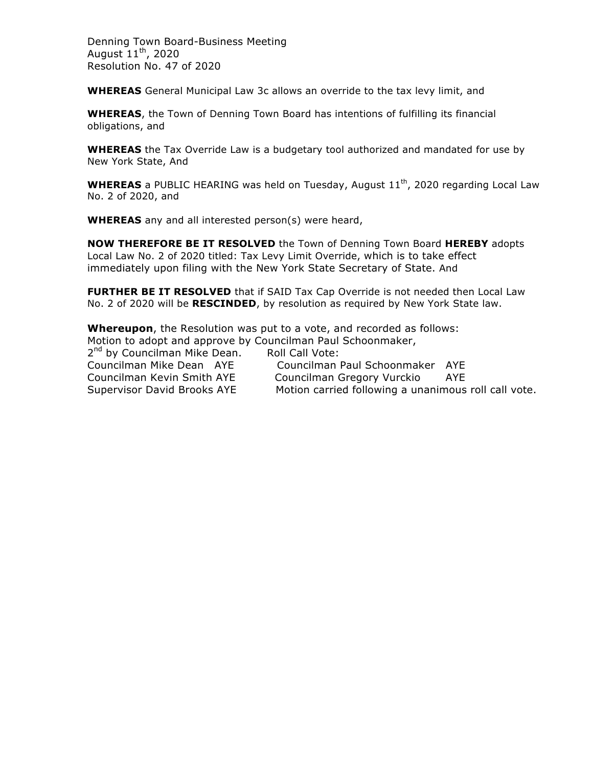Denning Town Board-Business Meeting August  $11<sup>th</sup>$ , 2020 Resolution No. 47 of 2020

**WHEREAS** General Municipal Law 3c allows an override to the tax levy limit, and

**WHEREAS**, the Town of Denning Town Board has intentions of fulfilling its financial obligations, and

**WHEREAS** the Tax Override Law is a budgetary tool authorized and mandated for use by New York State, And

**WHEREAS** a PUBLIC HEARING was held on Tuesday, August 11<sup>th</sup>, 2020 regarding Local Law No. 2 of 2020, and

**WHEREAS** any and all interested person(s) were heard,

**NOW THEREFORE BE IT RESOLVED** the Town of Denning Town Board **HEREBY** adopts Local Law No. 2 of 2020 titled: Tax Levy Limit Override, which is to take effect immediately upon filing with the New York State Secretary of State. And

**FURTHER BE IT RESOLVED** that if SAID Tax Cap Override is not needed then Local Law No. 2 of 2020 will be **RESCINDED**, by resolution as required by New York State law.

**Whereupon**, the Resolution was put to a vote, and recorded as follows: Motion to adopt and approve by Councilman Paul Schoonmaker, 2<sup>nd</sup> by Councilman Mike Dean. Roll Call Vote: Councilman Mike Dean AYE Councilman Paul Schoonmaker AYE Councilman Kevin Smith AYE Councilman Gregory Vurckio AYE Supervisor David Brooks AYE Motion carried following a unanimous roll call vote.